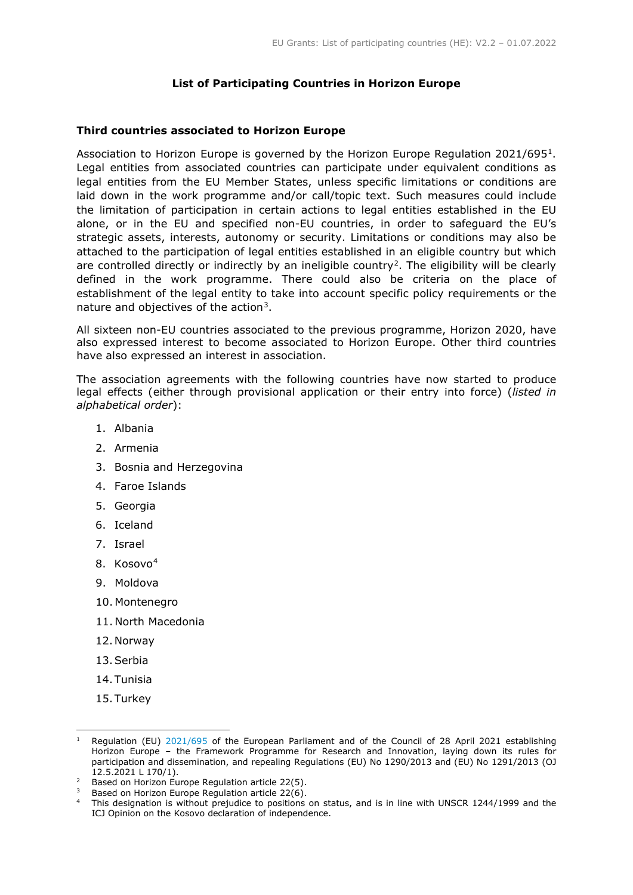# **List of Participating Countries in Horizon Europe**

## **Third countries associated to Horizon Europe**

Association to Horizon Europe is governed by the Horizon Europe Regulation 2021/695[1.](#page-0-0) Legal entities from associated countries can participate under equivalent conditions as legal entities from the EU Member States, unless specific limitations or conditions are laid down in the work programme and/or call/topic text. Such measures could include the limitation of participation in certain actions to legal entities established in the EU alone, or in the EU and specified non-EU countries, in order to safeguard the EU's strategic assets, interests, autonomy or security. Limitations or conditions may also be attached to the participation of legal entities established in an eligible country but which are controlled directly or indirectly by an ineligible country<sup>2</sup>. The eligibility will be clearly defined in the work programme. There could also be criteria on the place of establishment of the legal entity to take into account specific policy requirements or the nature and objectives of the action<sup>[3](#page-0-2)</sup>.

All sixteen non-EU countries associated to the previous programme, Horizon 2020, have also expressed interest to become associated to Horizon Europe. Other third countries have also expressed an interest in association.

The association agreements with the following countries have now started to produce legal effects (either through provisional application or their entry into force) (*listed in alphabetical order*):

- 1. Albania
- 2. Armenia
- 3. Bosnia and Herzegovina
- 4. Faroe Islands
- 5. Georgia
- 6. Iceland
- 7. Israel
- 8. Kosovo[4](#page-0-3)
- 9. Moldova
- 10. Montenegro
- 11. North Macedonia
- 12.Norway
- 13.Serbia
- 14.Tunisia
- 15.Turkey

<span id="page-0-0"></span>Regulation (EU) [2021/695](https://eur-lex.europa.eu/eli/reg/2021/695/oj) of the European Parliament and of the Council of 28 April 2021 establishing Horizon Europe – the Framework Programme for Research and Innovation, laying down its rules for participation and dissemination, and repealing Regulations (EU) No 1290/2013 and (EU) No 1291/2013 (OJ 12.5.2021 L 170/1).

<span id="page-0-1"></span><sup>&</sup>lt;sup>2</sup> Based on Horizon Europe Regulation article  $22(5)$ .

<span id="page-0-2"></span> $3$  Based on Horizon Europe Regulation article 22(6).

<span id="page-0-3"></span><sup>&</sup>lt;sup>4</sup> This designation is without prejudice to positions on status, and is in line with UNSCR 1244/1999 and the ICJ Opinion on the Kosovo declaration of independence.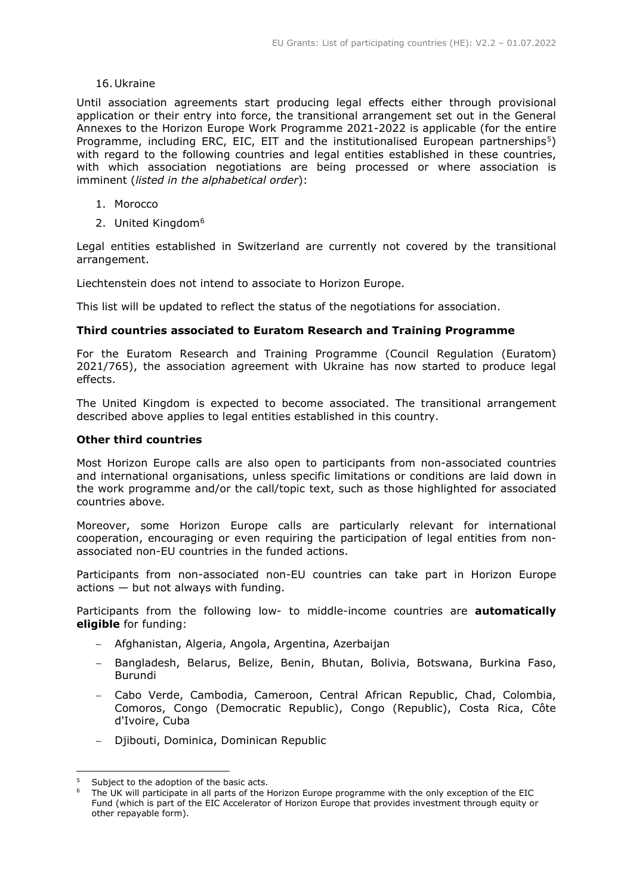### 16.Ukraine

Until association agreements start producing legal effects either through provisional application or their entry into force, the transitional arrangement set out in the General Annexes to the Horizon Europe Work Programme 2021-2022 is applicable (for the entire Programme, including ERC, EIC, EIT and the institutionalised European partnerships<sup>5</sup>) with regard to the following countries and legal entities established in these countries, with which association negotiations are being processed or where association is imminent (*listed in the alphabetical order*):

- 1. Morocco
- 2. United Kingdom<sup>[6](#page-1-1)</sup>

Legal entities established in Switzerland are currently not covered by the transitional arrangement.

Liechtenstein does not intend to associate to Horizon Europe.

This list will be updated to reflect the status of the negotiations for association.

## **Third countries associated to Euratom Research and Training Programme**

For the Euratom Research and Training Programme (Council Regulation (Euratom) 2021/765), the association agreement with Ukraine has now started to produce legal effects.

The United Kingdom is expected to become associated. The transitional arrangement described above applies to legal entities established in this country.

#### **Other third countries**

Most Horizon Europe calls are also open to participants from non-associated countries and international organisations, unless specific limitations or conditions are laid down in the work programme and/or the call/topic text, such as those highlighted for associated countries above.

Moreover, some Horizon Europe calls are particularly relevant for international cooperation, encouraging or even requiring the participation of legal entities from nonassociated non-EU countries in the funded actions.

Participants from non-associated non-EU countries can take part in Horizon Europe actions — but not always with funding.

Participants from the following low- to middle-income countries are **automatically eligible** for funding:

- − Afghanistan, Algeria, Angola, Argentina, Azerbaijan
- − Bangladesh, Belarus, Belize, Benin, Bhutan, Bolivia, Botswana, Burkina Faso, Burundi
- − Cabo Verde, Cambodia, Cameroon, Central African Republic, Chad, Colombia, Comoros, Congo (Democratic Republic), Congo (Republic), Costa Rica, Côte d'Ivoire, Cuba
- − Djibouti, Dominica, Dominican Republic

<span id="page-1-1"></span><span id="page-1-0"></span>Subject to the adoption of the basic acts.

The UK will participate in all parts of the Horizon Europe programme with the only exception of the EIC Fund (which is part of the EIC Accelerator of Horizon Europe that provides investment through equity or other repayable form).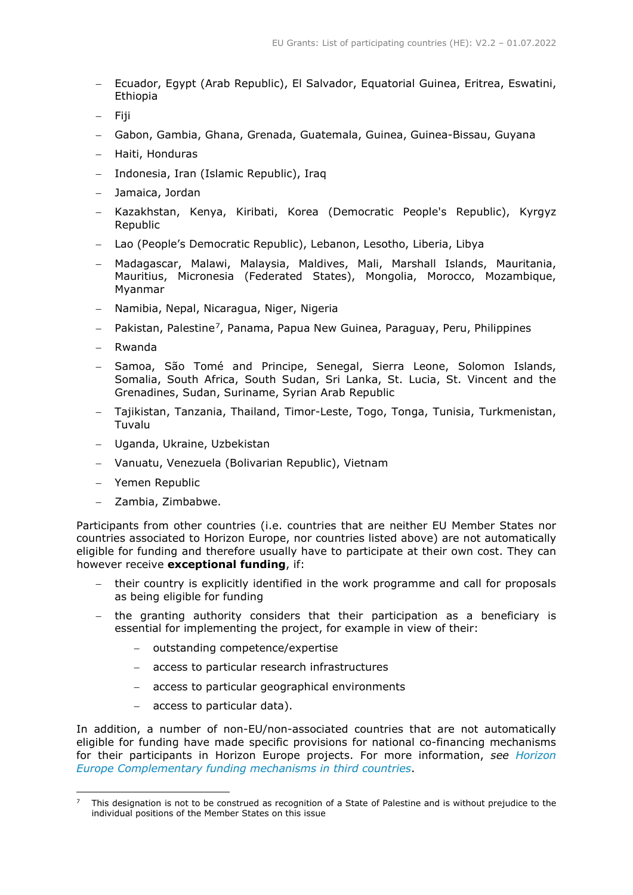- − Ecuador, Egypt (Arab Republic), El Salvador, Equatorial Guinea, Eritrea, Eswatini, Ethiopia
- − Fiji
- − Gabon, Gambia, Ghana, Grenada, Guatemala, Guinea, Guinea-Bissau, Guyana
- − Haiti, Honduras
- − Indonesia, Iran (Islamic Republic), Iraq
- − Jamaica, Jordan
- − Kazakhstan, Kenya, Kiribati, Korea (Democratic People's Republic), Kyrgyz Republic
- − Lao (People's Democratic Republic), Lebanon, Lesotho, Liberia, Libya
- − Madagascar, Malawi, Malaysia, Maldives, Mali, Marshall Islands, Mauritania, Mauritius, Micronesia (Federated States), Mongolia, Morocco, Mozambique, Myanmar
- − Namibia, Nepal, Nicaragua, Niger, Nigeria
- − Pakistan, Palestine[7,](#page-2-0) Panama, Papua New Guinea, Paraguay, Peru, Philippines
- − Rwanda
- − Samoa, São Tomé and Principe, Senegal, Sierra Leone, Solomon Islands, Somalia, South Africa, South Sudan, Sri Lanka, St. Lucia, St. Vincent and the Grenadines, Sudan, Suriname, Syrian Arab Republic
- − Tajikistan, Tanzania, Thailand, Timor-Leste, Togo, Tonga, Tunisia, Turkmenistan, Tuvalu
- − Uganda, Ukraine, Uzbekistan
- − Vanuatu, Venezuela (Bolivarian Republic), Vietnam
- − Yemen Republic
- − Zambia, Zimbabwe.

Participants from other countries (i.e. countries that are neither EU Member States nor countries associated to Horizon Europe, nor countries listed above) are not automatically eligible for funding and therefore usually have to participate at their own cost. They can however receive **exceptional funding**, if:

- − their country is explicitly identified in the work programme and call for proposals as being eligible for funding
- the granting authority considers that their participation as a beneficiary is essential for implementing the project, for example in view of their:
	- − outstanding competence/expertise
	- − access to particular research infrastructures
	- − access to particular geographical environments
	- − access to particular data).

In addition, a number of non-EU/non-associated countries that are not automatically eligible for funding have made specific provisions for national co-financing mechanisms for their participants in Horizon Europe projects. For more information, *see [Horizon](https://ec.europa.eu/info/funding-tenders/opportunities/docs/2021-2027/horizon/guidance/complementary-funding-mechanisms-in-third-countries_he_en.pdf)  [Europe Complementary funding mechanisms in third countries](https://ec.europa.eu/info/funding-tenders/opportunities/docs/2021-2027/horizon/guidance/complementary-funding-mechanisms-in-third-countries_he_en.pdf)*.

<span id="page-2-0"></span><sup>7</sup> This designation is not to be construed as recognition of a State of Palestine and is without prejudice to the individual positions of the Member States on this issue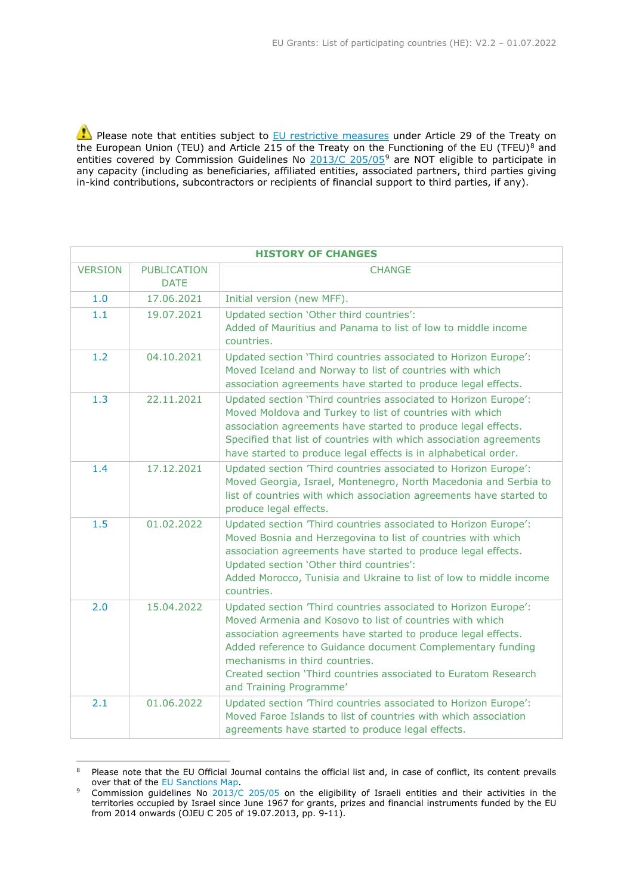Please note that entities subject to [EU restrictive measures](http://www.sanctionsmap.eu/) under Article 29 of the Treaty on the European Union (TEU) and Article 215 of the Treaty on the Functioning of the EU (TFEU)<sup>[8](#page-3-0)</sup> and entities covered by Commission Guidelines No [2013/C 205/05](http://eur-lex.europa.eu/LexUriServ/LexUriServ.do?uri=OJ:C:2013:205:FULL:EN:PDF)<sup>[9](#page-3-1)</sup> are NOT eligible to participate in any capacity (including as beneficiaries, affiliated entities, associated partners, third parties giving in-kind contributions, subcontractors or recipients of financial support to third parties, if any).

| <b>HISTORY OF CHANGES</b> |                                   |                                                                                                                                                                                                                                                                                                                                                                                            |
|---------------------------|-----------------------------------|--------------------------------------------------------------------------------------------------------------------------------------------------------------------------------------------------------------------------------------------------------------------------------------------------------------------------------------------------------------------------------------------|
| <b>VERSION</b>            | <b>PUBLICATION</b><br><b>DATE</b> | <b>CHANGE</b>                                                                                                                                                                                                                                                                                                                                                                              |
| 1.0                       | 17.06.2021                        | Initial version (new MFF).                                                                                                                                                                                                                                                                                                                                                                 |
| 1.1                       | 19.07.2021                        | Updated section 'Other third countries':<br>Added of Mauritius and Panama to list of low to middle income<br>countries.                                                                                                                                                                                                                                                                    |
| 1.2                       | 04.10.2021                        | Updated section 'Third countries associated to Horizon Europe':<br>Moved Iceland and Norway to list of countries with which<br>association agreements have started to produce legal effects.                                                                                                                                                                                               |
| 1.3                       | 22.11.2021                        | Updated section 'Third countries associated to Horizon Europe':<br>Moved Moldova and Turkey to list of countries with which<br>association agreements have started to produce legal effects.<br>Specified that list of countries with which association agreements<br>have started to produce legal effects is in alphabetical order.                                                      |
| 1.4                       | 17.12.2021                        | Updated section 'Third countries associated to Horizon Europe':<br>Moved Georgia, Israel, Montenegro, North Macedonia and Serbia to<br>list of countries with which association agreements have started to<br>produce legal effects.                                                                                                                                                       |
| 1.5                       | 01.02.2022                        | Updated section 'Third countries associated to Horizon Europe':<br>Moved Bosnia and Herzegovina to list of countries with which<br>association agreements have started to produce legal effects.<br>Updated section 'Other third countries':<br>Added Morocco, Tunisia and Ukraine to list of low to middle income<br>countries.                                                           |
| 2.0                       | 15.04.2022                        | Updated section 'Third countries associated to Horizon Europe':<br>Moved Armenia and Kosovo to list of countries with which<br>association agreements have started to produce legal effects.<br>Added reference to Guidance document Complementary funding<br>mechanisms in third countries.<br>Created section 'Third countries associated to Euratom Research<br>and Training Programme' |
| 2.1                       | 01.06.2022                        | Updated section 'Third countries associated to Horizon Europe':<br>Moved Faroe Islands to list of countries with which association<br>agreements have started to produce legal effects.                                                                                                                                                                                                    |

<span id="page-3-0"></span><sup>&</sup>lt;sup>8</sup> Please note that the EU Official Journal contains the official list and, in case of conflict, its content prevails over that of the EU Sanctions Map.

<span id="page-3-1"></span>over that of the EU Sanctions [Map.](http://www.sanctionsmap.eu/) 9 Commission guidelines No [2013/C 205/05](http://eur-lex.europa.eu/LexUriServ/LexUriServ.do?uri=OJ:C:2013:205:FULL:EN:PDF) on the eligibility of Israeli entities and their activities in the territories occupied by Israel since June 1967 for grants, prizes and financial instruments funded by the EU from 2014 onwards (OJEU C 205 of 19.07.2013, pp. 9-11).